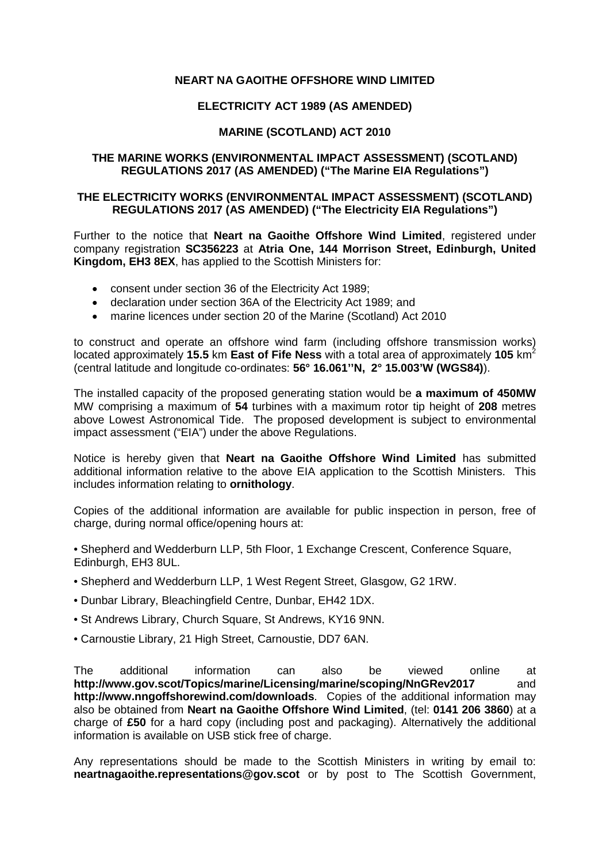## **NEART NA GAOITHE OFFSHORE WIND LIMITED**

# **ELECTRICITY ACT 1989 (AS AMENDED)**

## **MARINE (SCOTLAND) ACT 2010**

#### **THE MARINE WORKS (ENVIRONMENTAL IMPACT ASSESSMENT) (SCOTLAND) REGULATIONS 2017 (AS AMENDED) ("The Marine EIA Regulations")**

## **THE ELECTRICITY WORKS (ENVIRONMENTAL IMPACT ASSESSMENT) (SCOTLAND) REGULATIONS 2017 (AS AMENDED) ("The Electricity EIA Regulations")**

Further to the notice that **Neart na Gaoithe Offshore Wind Limited**, registered under company registration **SC356223** at **Atria One, 144 Morrison Street, Edinburgh, United Kingdom, EH3 8EX**, has applied to the Scottish Ministers for:

- consent under section 36 of the Electricity Act 1989;
- declaration under section 36A of the Electricity Act 1989; and
- marine licences under section 20 of the Marine (Scotland) Act 2010

to construct and operate an offshore wind farm (including offshore transmission works) located approximately **15.5** km **East of Fife Ness** with a total area of approximately **105** km<sup>2</sup> (central latitude and longitude co-ordinates: **56° 16.061''N, 2° 15.003'W (WGS84)**).

The installed capacity of the proposed generating station would be **a maximum of 450MW** MW comprising a maximum of **54** turbines with a maximum rotor tip height of **208** metres above Lowest Astronomical Tide. The proposed development is subject to environmental impact assessment ("EIA") under the above Regulations.

Notice is hereby given that **Neart na Gaoithe Offshore Wind Limited** has submitted additional information relative to the above EIA application to the Scottish Ministers. This includes information relating to **ornithology**.

Copies of the additional information are available for public inspection in person, free of charge, during normal office/opening hours at:

- Shepherd and Wedderburn LLP, 5th Floor, 1 Exchange Crescent, Conference Square, Edinburgh, EH3 8UL.
- Shepherd and Wedderburn LLP, 1 West Regent Street, Glasgow, G2 1RW.
- Dunbar Library, Bleachingfield Centre, Dunbar, EH42 1DX.
- St Andrews Library, Church Square, St Andrews, KY16 9NN.
- Carnoustie Library, 21 High Street, Carnoustie, DD7 6AN.

The additional information can also be viewed online at **http://www.gov.scot/Topics/marine/Licensing/marine/scoping/NnGRev2017** and **http://www.nngoffshorewind.com/downloads**. Copies of the additional information may also be obtained from **Neart na Gaoithe Offshore Wind Limited**, (tel: **0141 206 3860**) at a charge of **£50** for a hard copy (including post and packaging). Alternatively the additional information is available on USB stick free of charge.

Any representations should be made to the Scottish Ministers in writing by email to: **neartnagaoithe.representations@gov.scot** or by post to The Scottish Government,